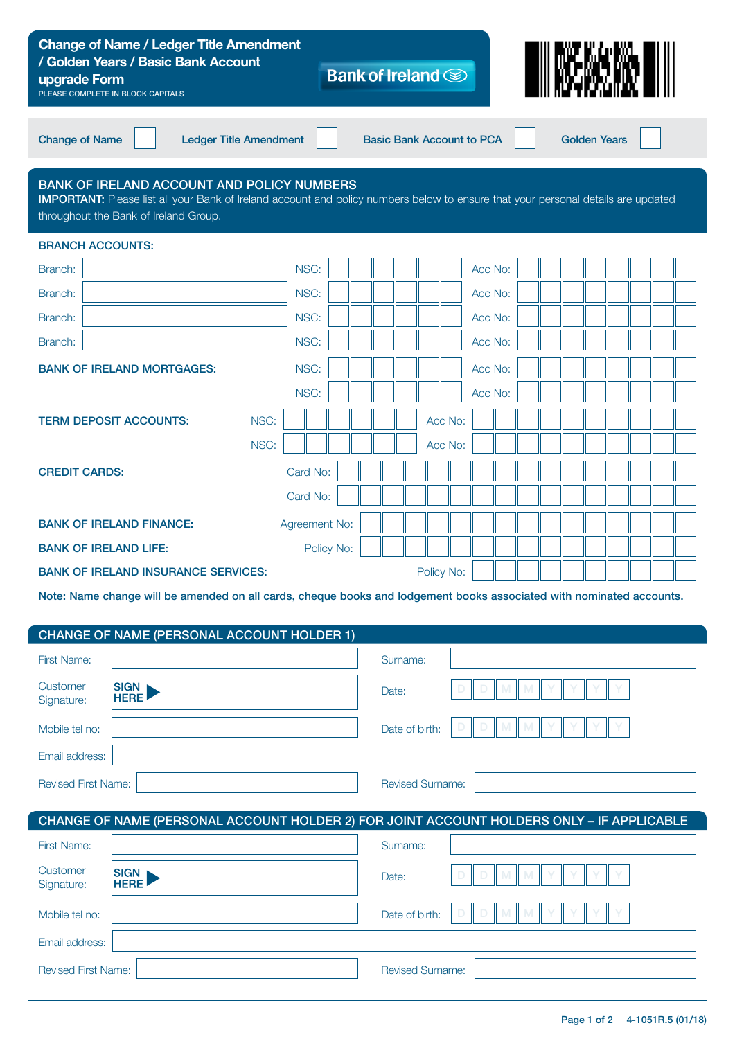| <b>Change of Name / Ledger Title Amendment</b><br>/ Golden Years / Basic Bank Account<br>upgrade Form<br>PLEASE COMPLETE IN BLOCK CAPITALS                                                                                             |                               |  |  |                         | Bank of Ireland <b>SI</b>        |            |  |         |  |  |  |                     |  |  |  |  |  |  |
|----------------------------------------------------------------------------------------------------------------------------------------------------------------------------------------------------------------------------------------|-------------------------------|--|--|-------------------------|----------------------------------|------------|--|---------|--|--|--|---------------------|--|--|--|--|--|--|
| <b>Change of Name</b>                                                                                                                                                                                                                  | <b>Ledger Title Amendment</b> |  |  |                         | <b>Basic Bank Account to PCA</b> |            |  |         |  |  |  | <b>Golden Years</b> |  |  |  |  |  |  |
| <b>BANK OF IRELAND ACCOUNT AND POLICY NUMBERS</b><br><b>IMPORTANT:</b> Please list all your Bank of Ireland account and policy numbers below to ensure that your personal details are updated<br>throughout the Bank of Ireland Group. |                               |  |  |                         |                                  |            |  |         |  |  |  |                     |  |  |  |  |  |  |
| <b>BRANCH ACCOUNTS:</b>                                                                                                                                                                                                                |                               |  |  |                         |                                  |            |  |         |  |  |  |                     |  |  |  |  |  |  |
| Branch:                                                                                                                                                                                                                                | NSC:                          |  |  |                         |                                  |            |  | Acc No: |  |  |  |                     |  |  |  |  |  |  |
| Branch:                                                                                                                                                                                                                                | NSC:                          |  |  |                         |                                  |            |  | Acc No: |  |  |  |                     |  |  |  |  |  |  |
| Branch:                                                                                                                                                                                                                                | NSC:                          |  |  |                         |                                  |            |  | Acc No: |  |  |  |                     |  |  |  |  |  |  |
| Branch:                                                                                                                                                                                                                                | NSC:                          |  |  |                         |                                  |            |  | Acc No: |  |  |  |                     |  |  |  |  |  |  |
| <b>BANK OF IRELAND MORTGAGES:</b>                                                                                                                                                                                                      | NSC:                          |  |  |                         |                                  |            |  | Acc No: |  |  |  |                     |  |  |  |  |  |  |
|                                                                                                                                                                                                                                        | NSC:                          |  |  |                         |                                  |            |  | Acc No: |  |  |  |                     |  |  |  |  |  |  |
| NSC:<br><b>TERM DEPOSIT ACCOUNTS:</b>                                                                                                                                                                                                  |                               |  |  |                         |                                  | Acc No:    |  |         |  |  |  |                     |  |  |  |  |  |  |
| NSC:                                                                                                                                                                                                                                   |                               |  |  |                         |                                  | Acc No:    |  |         |  |  |  |                     |  |  |  |  |  |  |
| Card No:<br><b>CREDIT CARDS:</b>                                                                                                                                                                                                       |                               |  |  |                         |                                  |            |  |         |  |  |  |                     |  |  |  |  |  |  |
|                                                                                                                                                                                                                                        | Card No:                      |  |  |                         |                                  |            |  |         |  |  |  |                     |  |  |  |  |  |  |
| <b>BANK OF IRELAND FINANCE:</b><br>Agreement No:                                                                                                                                                                                       |                               |  |  |                         |                                  |            |  |         |  |  |  |                     |  |  |  |  |  |  |
| <b>BANK OF IRELAND LIFE:</b><br>Policy No:                                                                                                                                                                                             |                               |  |  |                         |                                  |            |  |         |  |  |  |                     |  |  |  |  |  |  |
| <b>BANK OF IRELAND INSURANCE SERVICES:</b>                                                                                                                                                                                             |                               |  |  |                         |                                  | Policy No: |  |         |  |  |  |                     |  |  |  |  |  |  |
| Note: Name change will be amended on all cards, cheque books and lodgement books associated with nominated accounts.                                                                                                                   |                               |  |  |                         |                                  |            |  |         |  |  |  |                     |  |  |  |  |  |  |
|                                                                                                                                                                                                                                        |                               |  |  |                         |                                  |            |  |         |  |  |  |                     |  |  |  |  |  |  |
| CHANGE OF NAME (PERSONAL ACCOUNT HOLDER 1)<br>First Name:                                                                                                                                                                              |                               |  |  |                         |                                  |            |  |         |  |  |  |                     |  |  |  |  |  |  |
|                                                                                                                                                                                                                                        |                               |  |  |                         | Surname:                         |            |  |         |  |  |  |                     |  |  |  |  |  |  |
| Customer<br><b>HERE</b><br>Signature:                                                                                                                                                                                                  | SIGN <sub>I</sub>             |  |  |                         | Date:                            |            |  |         |  |  |  |                     |  |  |  |  |  |  |
| Mobile tel no:                                                                                                                                                                                                                         |                               |  |  |                         | Date of birth:                   |            |  |         |  |  |  |                     |  |  |  |  |  |  |
| Email address:                                                                                                                                                                                                                         |                               |  |  |                         |                                  |            |  |         |  |  |  |                     |  |  |  |  |  |  |
| <b>Revised First Name:</b>                                                                                                                                                                                                             |                               |  |  | <b>Revised Surname:</b> |                                  |            |  |         |  |  |  |                     |  |  |  |  |  |  |
|                                                                                                                                                                                                                                        |                               |  |  |                         |                                  |            |  |         |  |  |  |                     |  |  |  |  |  |  |
| CHANGE OF NAME (PERSONAL ACCOUNT HOLDER 2) FOR JOINT ACCOUNT HOLDERS ONLY - IF APPLICABLE                                                                                                                                              |                               |  |  |                         |                                  |            |  |         |  |  |  |                     |  |  |  |  |  |  |
| <b>First Name:</b>                                                                                                                                                                                                                     |                               |  |  | Surname:                |                                  |            |  |         |  |  |  |                     |  |  |  |  |  |  |
| Customer<br><b>SIGN</b><br><b>HERE</b><br>Signature:                                                                                                                                                                                   |                               |  |  | Date:                   |                                  |            |  |         |  |  |  |                     |  |  |  |  |  |  |
| Mobile tel no:                                                                                                                                                                                                                         |                               |  |  | Date of birth:          |                                  |            |  |         |  |  |  |                     |  |  |  |  |  |  |
| Email address:                                                                                                                                                                                                                         |                               |  |  |                         |                                  |            |  |         |  |  |  |                     |  |  |  |  |  |  |
| <b>Revised First Name:</b>                                                                                                                                                                                                             |                               |  |  | <b>Revised Surname:</b> |                                  |            |  |         |  |  |  |                     |  |  |  |  |  |  |